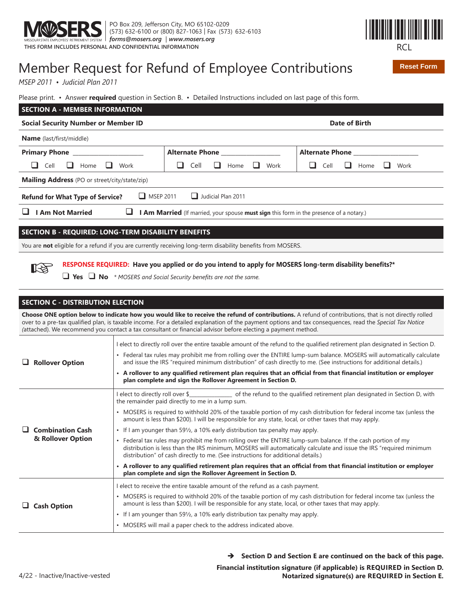



**Reset Form**

# Member Request for Refund of Employee Contributions

*MSEP 2011 • Judicial Plan 2011*

Please print. • Answer **required** question in Section B. • Detailed Instructions included on last page of this form.

| <b>SECTION A - MEMBER INFORMATION</b>                                                                            |                                |                                     |  |  |
|------------------------------------------------------------------------------------------------------------------|--------------------------------|-------------------------------------|--|--|
| <b>Social Security Number or Member ID</b>                                                                       |                                | Date of Birth                       |  |  |
| <b>Name</b> (last/first/middle)                                                                                  |                                |                                     |  |  |
| <b>Primary Phone</b>                                                                                             | <b>Alternate Phone</b>         | <b>Alternate Phone</b>              |  |  |
| Work<br>Cell<br>Home                                                                                             | Cell<br>Work<br>ப<br>ப<br>Home | Cell<br>$\Box$<br>Home<br>Work<br>ப |  |  |
| <b>Mailing Address</b> (PO or street/city/state/zip)                                                             |                                |                                     |  |  |
| $\Box$ MSEP 2011<br>$\Box$ Judicial Plan 2011<br><b>Refund for What Type of Service?</b>                         |                                |                                     |  |  |
| <b>Am Not Married</b><br>I Am Married (If married, your spouse must sign this form in the presence of a notary.) |                                |                                     |  |  |
|                                                                                                                  |                                |                                     |  |  |
| <b>SECTION B - REQUIRED: LONG-TERM DISABILITY BENEFITS</b>                                                       |                                |                                     |  |  |

You are not eligible for a refund if you are currently receiving long-term disability benefits from MOSERS.

RESPONSE REQUIRED: Have you applied or do you intend to apply for MOSERS long-term disability benefits?\*

□ Yes □ No  $*$  MOSERS and Social Security benefits are not the same.

#### **SECTION C - DISTRIBUTION ELECTION**

☞

**Choose ONE option below to indicate how you would like to receive the refund of contributions.** A refund of contributions, that is not directly rolled over to a pre-tax qualified plan, is taxable income. For a detailed explanation of the payment options and tax consequences, read the Special Tax Notice (attached). We recommend you contact a tax consultant or financial advisor before electing a payment method.

|  | <b>Rollover Option</b>                       | I elect to directly roll over the entire taxable amount of the refund to the qualified retirement plan designated in Section D.                                                                                                                                                                                                   |
|--|----------------------------------------------|-----------------------------------------------------------------------------------------------------------------------------------------------------------------------------------------------------------------------------------------------------------------------------------------------------------------------------------|
|  |                                              | • Federal tax rules may prohibit me from rolling over the ENTIRE lump-sum balance. MOSERS will automatically calculate<br>and issue the IRS "required minimum distribution" of cash directly to me. (See instructions for additional details.)                                                                                    |
|  |                                              | • A rollover to any qualified retirement plan requires that an official from that financial institution or employer<br>plan complete and sign the Rollover Agreement in Section D.                                                                                                                                                |
|  | <b>Combination Cash</b><br>& Rollover Option | I elect to directly roll over \$__________________ of the refund to the qualified retirement plan designated in Section D, with<br>the remainder paid directly to me in a lump sum.                                                                                                                                               |
|  |                                              | • MOSERS is required to withhold 20% of the taxable portion of my cash distribution for federal income tax (unless the<br>amount is less than \$200). I will be responsible for any state, local, or other taxes that may apply.                                                                                                  |
|  |                                              | • If I am younger than 591/ <sub>2</sub> , a 10% early distribution tax penalty may apply.                                                                                                                                                                                                                                        |
|  |                                              | Federal tax rules may prohibit me from rolling over the ENTIRE lump-sum balance. If the cash portion of my<br>$\bullet$<br>distribution is less than the IRS minimum, MOSERS will automatically calculate and issue the IRS "required minimum<br>distribution" of cash directly to me. (See instructions for additional details.) |
|  |                                              | • A rollover to any qualified retirement plan requires that an official from that financial institution or employer<br>plan complete and sign the Rollover Agreement in Section D.                                                                                                                                                |
|  | <b>Cash Option</b>                           | I elect to receive the entire taxable amount of the refund as a cash payment.                                                                                                                                                                                                                                                     |
|  |                                              | • MOSERS is required to withhold 20% of the taxable portion of my cash distribution for federal income tax (unless the<br>amount is less than \$200). I will be responsible for any state, local, or other taxes that may apply.                                                                                                  |
|  |                                              | • If I am younger than 591/ <sub>2</sub> , a 10% early distribution tax penalty may apply.                                                                                                                                                                                                                                        |
|  |                                              | • MOSERS will mail a paper check to the address indicated above.                                                                                                                                                                                                                                                                  |

 $\rightarrow$  Section D and Section E are continued on the back of this page.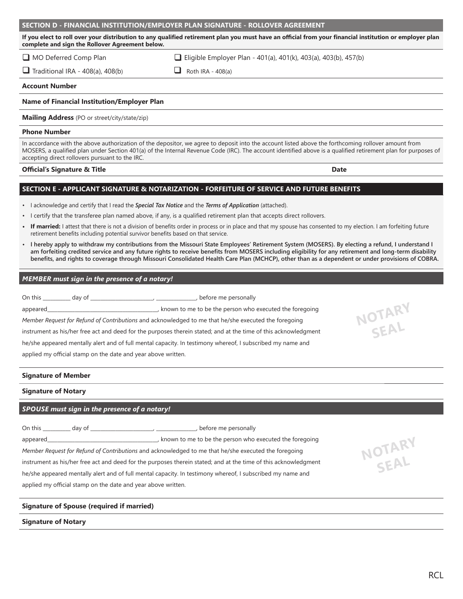#### **SECTION D - FINANCIAL INSTITUTION/EMPLOYER PLAN SIGNATURE - ROLLOVER AGREEMENT**

If you elect to roll over your distribution to any qualified retirement plan you must have an official from your financial institution or employer plan **complete and sign the Rollover Agreement below.** 

 $\Box$  MO Deferred Comp Plan  $\Box$  Eliqible Employer Plan - 401(a), 401(k), 403(a), 403(b), 457(b)

 $\Box$  Traditional IRA - 408(a), 408(b)  $\Box$  Roth IRA - 408(a)

#### **Account Number**

#### **Name of Financial Institution/Employer Plan**

**Mailing Address** (PO or street/city/state/zip)

#### **Phone Number**

In accordance with the above authorization of the depositor, we agree to deposit into the account listed above the forthcoming rollover amount from MOSERS, a qualified plan under Section 401(a) of the Internal Revenue Code (IRC). The account identified above is a qualified retirement plan for purposes of accepting direct rollovers pursuant to the IRC.

#### **2** Official's Signature & Title **2006**

#### **SECTION E - APPLICANT SIGNATURE & NOTARIZATION - FORFEITURE OF SERVICE AND FUTURE BENEFITS**

- I acknowledge and certify that I read the *Special Tax Notice* and the *Terms of Application* (attached).
- I certify that the transferee plan named above, if any, is a qualified retirement plan that accepts direct rollovers.
- If married: I attest that there is not a division of benefits order in process or in place and that my spouse has consented to my election. I am forfeiting future retirement benefits including potential survivor benefits based on that service.
- **I hereby apply to withdraw my contributions from the Missouri State Employees' Retirement System (MOSERS). By electing a refund, I understand I**  am forfeiting credited service and any future rights to receive benefits from MOSERS including eligibility for any retirement and long-term disability benefits, and rights to coverage through Missouri Consolidated Health Care Plan (MCHCP), other than as a dependent or under provisions of COBRA.

#### *MEMBER must sign in the presence of a notary!*

On this \_\_\_\_\_\_\_\_\_\_\_ day of \_\_\_\_\_\_\_\_\_\_\_\_\_\_\_\_\_\_\_\_\_\_\_\_\_, \_\_\_\_\_\_\_\_\_\_\_\_\_\_\_\_, before me personally appeared\_\_\_\_\_\_\_\_\_\_\_\_\_\_\_\_\_\_\_\_\_\_\_\_\_\_\_\_\_\_\_\_\_\_\_\_\_\_\_\_\_\_\_\_, known to me to be the person who executed the foregoing *Member Request for Refund of Contributions and acknowledged to me that he/she executed the foregoing* instrument as his/her free act and deed for the purposes therein stated; and at the time of this acknowledgment he/she appeared mentally alert and of full mental capacity. In testimony whereof, I subscribed my name and applied my official stamp on the date and year above written.

#### **Signature of Member**

#### **Signature of Notary**

#### *SPOUSE must sign in the presence of a notary!*

On this day of the contract of the contract of the contract of the contract of the contract of the contract of the contract of the contract of the contract of the contract of the contract of the contract of the contract of appeared\_\_\_\_\_\_\_\_\_\_\_\_\_\_\_\_\_\_\_\_\_\_\_\_\_\_\_\_\_\_\_\_\_\_\_\_\_\_\_\_\_\_\_\_, known to me to be the person who executed the foregoing *Member Request for Refund of Contributions* and acknowledged to me that he/she executed the foregoing instrument as his/her free act and deed for the purposes therein stated; and at the time of this acknowledgment

he/she appeared mentally alert and of full mental capacity. In testimony whereof, I subscribed my name and applied my official stamp on the date and year above written.

#### **Signature of Spouse (required if married)**

#### **Signature of Notary**





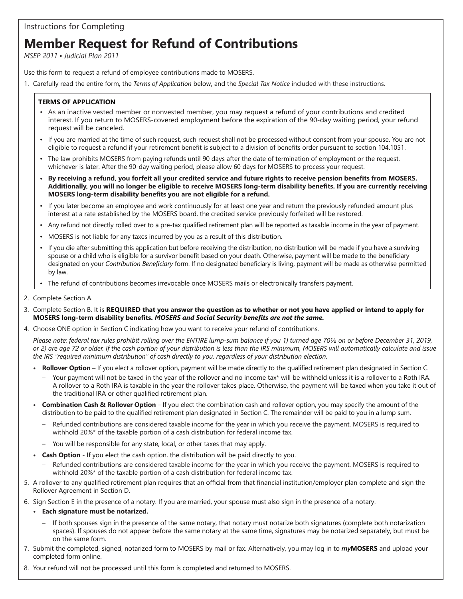#### Instructions for Completing

# **Member Request for Refund of Contributions**

*MSEP 2011 • Judicial Plan 2011*

Use this form to request a refund of employee contributions made to MOSERS.

1. Carefully read the entire form, the *Terms of Application* below, and the *Special Tax Notice* included with these instructions.

#### **TERMS OF APPLICATION**

- As an inactive vested member or nonvested member, you may request a refund of your contributions and credited interest. If you return to MOSERS-covered employment before the expiration of the 90-day waiting period, your refund request will be canceled.
- If you are married at the time of such request, such request shall not be processed without consent from your spouse. You are not eligible to request a refund if your retirement benefit is subject to a division of benefits order pursuant to section 104.1051.
- The law prohibits MOSERS from paying refunds until 90 days after the date of termination of employment or the request, whichever is later. After the 90-day waiting period, please allow 60 days for MOSERS to process your request.
- By receiving a refund, you forfeit all your credited service and future rights to receive pension benefits from MOSERS. Additionally, you will no longer be eligible to receive MOSERS long-term disability benefits. If you are currently receiving **MOSERS** long-term disability benefits you are not eligible for a refund.
- If you later become an employee and work continuously for at least one year and return the previously refunded amount plus interest at a rate established by the MOSERS board, the credited service previously forfeited will be restored.
- Any refund not directly rolled over to a pre-tax qualified retirement plan will be reported as taxable income in the year of payment.
- MOSERS is not liable for any taxes incurred by you as a result of this distribution.
- If you die after submitting this application but before receiving the distribution, no distribution will be made if you have a surviving spouse or a child who is eligible for a survivor benefit based on your death. Otherwise, payment will be made to the beneficiary designated on your *Contribution Beneficiary* form. If no designated beneficiary is living, payment will be made as otherwise permitted by law.
- The refund of contributions becomes irrevocable once MOSERS mails or electronically transfers payment.
- 2. Complete Section A.
- Complete Section B. It is **REQUIRED that you answer the question as to whether or not you have applied or intend to apply for**  MOSERS long-term disability benefits. MOSERS and Social Security benefits are not the same.
- 4. Choose ONE option in Section C indicating how you want to receive your refund of contributions.

Please note: federal tax rules prohibit rolling over the ENTIRE lump-sum balance if you 1) turned age 70½ on or before December 31, 2019, or 2) are age 72 or older. If the cash portion of your distribution is less than the IRS minimum, MOSERS will automatically calculate and issue the IRS "required minimum distribution" of cash directly to you, regardless of your distribution election.

- **Rollover Option** If you elect a rollover option, payment will be made directly to the qualified retirement plan designated in Section C.
	- Your payment will not be taxed in the year of the rollover and no income tax\* will be withheld unless it is a rollover to a Roth IRA. A rollover to a Roth IRA is taxable in the year the rollover takes place. Otherwise, the payment will be taxed when you take it out of the traditional IRA or other qualified retirement plan.
- **Combination Cash & Rollover Option**  If you elect the combination cash and rollover option, you may specify the amount of the distribution to be paid to the qualified retirement plan designated in Section C. The remainder will be paid to you in a lump sum.
	- Refunded contributions are considered taxable income for the year in which you receive the payment. MOSERS is required to withhold 20%\* of the taxable portion of a cash distribution for federal income tax.
	- You will be responsible for any state, local, or other taxes that may apply.
- **Cash Option** If you elect the cash option, the distribution will be paid directly to you.
	- Refunded contributions are considered taxable income for the year in which you receive the payment. MOSERS is required to withhold 20%\* of the taxable portion of a cash distribution for federal income tax.
- 5. A rollover to any qualified retirement plan requires that an official from that financial institution/employer plan complete and sign the Rollover Agreement in Section D.
- 6. Sign Section E in the presence of a notary. If you are married, your spouse must also sign in the presence of a notary.
	- **Each signature must be notarized.**
		- If both spouses sign in the presence of the same notary, that notary must notarize both signatures (complete both notarization spaces). If spouses do not appear before the same notary at the same time, signatures may be notarized separately, but must be on the same form.
- Submit the completed, signed, notarized form to MOSERS by mail or fax. Alternatively, you may log in to *my***MOSERS** and upload your completed form online.
- 8. Your refund will not be processed until this form is completed and returned to MOSERS.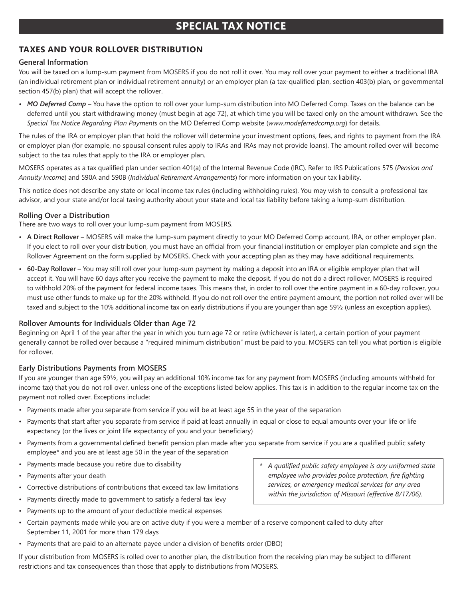## **SPECIAL TAX NOTICE**

#### **TAXES AND YOUR ROLLOVER DISTRIBUTION**

#### **General Information**

You will be taxed on a lump-sum payment from MOSERS if you do not roll it over. You may roll over your payment to either a traditional IRA (an individual retirement plan or individual retirement annuity) or an employer plan (a tax-qualified plan, section 403(b) plan, or governmental section 457(b) plan) that will accept the rollover.

• MO Deferred Comp - You have the option to roll over your lump-sum distribution into MO Deferred Comp. Taxes on the balance can be deferred until you start withdrawing money (must begin at age 72), at which time you will be taxed only on the amount withdrawn. See the *Special Tax Notice Regarding Plan Payments* on the MO Deferred Comp website (*www.modeferredcomp.org*) for details.

The rules of the IRA or employer plan that hold the rollover will determine your investment options, fees, and rights to payment from the IRA or employer plan (for example, no spousal consent rules apply to IRAs and IRAs may not provide loans). The amount rolled over will become subject to the tax rules that apply to the IRA or employer plan.

MOSERS operates as a tax qualified plan under section 401(a) of the Internal Revenue Code (IRC). Refer to IRS Publications 575 (Pension and Annuity Income) and 590A and 590B (Individual Retirement Arrangements) for more information on your tax liability.

This notice does not describe any state or local income tax rules (including withholding rules). You may wish to consult a professional tax advisor, and your state and/or local taxing authority about your state and local tax liability before taking a lump-sum distribution.

#### **Rolling Over a Distribution**

There are two ways to roll over your lump-sum payment from MOSERS.

- A Direct Rollover MOSERS will make the lump-sum payment directly to your MO Deferred Comp account, IRA, or other employer plan. If you elect to roll over your distribution, you must have an official from your financial institution or employer plan complete and sign the Rollover Agreement on the form supplied by MOSERS. Check with your accepting plan as they may have additional requirements.
- 60-Day Rollover You may still roll over your lump-sum payment by making a deposit into an IRA or eligible employer plan that will accept it. You will have 60 days after you receive the payment to make the deposit. If you do not do a direct rollover, MOSERS is required to withhold 20% of the payment for federal income taxes. This means that, in order to roll over the entire payment in a 60-day rollover, you must use other funds to make up for the 20% withheld. If you do not roll over the entire payment amount, the portion not rolled over will be taxed and subject to the 10% additional income tax on early distributions if you are younger than age 591/2 (unless an exception applies).

#### **Rollover Amounts for Individuals Older than Age 72**

Beginning on April 1 of the year after the year in which you turn age 72 or retire (whichever is later), a certain portion of your payment generally cannot be rolled over because a "required minimum distribution" must be paid to you. MOSERS can tell you what portion is eligible for rollover.

#### **Early Distributions Payments from MOSERS**

If you are younger than age 591/<sub>2</sub>, you will pay an additional 10% income tax for any payment from MOSERS (including amounts withheld for income tax) that you do not roll over, unless one of the exceptions listed below applies. This tax is in addition to the regular income tax on the payment not rolled over. Exceptions include:

- Payments made after you separate from service if you will be at least age 55 in the year of the separation
- Payments that start after you separate from service if paid at least annually in equal or close to equal amounts over your life or life expectancy (or the lives or joint life expectancy of you and your beneficiary)
- Payments from a governmental defined benefit pension plan made after you separate from service if you are a qualified public safety employee\* and you are at least age 50 in the year of the separation
- Payments made because you retire due to disability
- Payments after your death
- Corrective distributions of contributions that exceed tax law limitations
- Payments directly made to government to satisfy a federal tax levy
- Payments up to the amount of your deductible medical expenses
- Certain payments made while you are on active duty if you were a member of a reserve component called to duty after September 11, 2001 for more than 179 days
- Payments that are paid to an alternate payee under a division of benefits order (DBO)

If your distribution from MOSERS is rolled over to another plan, the distribution from the receiving plan may be subject to different restrictions and tax consequences than those that apply to distributions from MOSERS.

\* A qualified public safety employee is any uniformed state *employee who provides police protection, fire fighting services, or emergency medical services for any area*  within the jurisdiction of Missouri (effective 8/17/06).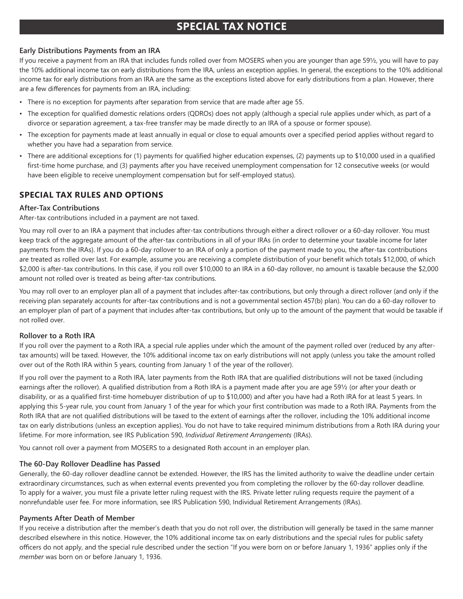# **SPECIAL TAX NOTICE**

#### Early Distributions Payments from an IRA

If you receive a payment from an IRA that includes funds rolled over from MOSERS when you are younger than age 591/2, you will have to pay the 10% additional income tax on early distributions from the IRA, unless an exception applies. In general, the exceptions to the 10% additional income tax for early distributions from an IRA are the same as the exceptions listed above for early distributions from a plan. However, there are a few differences for payments from an IRA, including:

- There is no exception for payments after separation from service that are made after age 55.
- The exception for qualified domestic relations orders (QDROs) does not apply (although a special rule applies under which, as part of a divorce or separation agreement, a tax-free transfer may be made directly to an IRA of a spouse or former spouse).
- The exception for payments made at least annually in equal or close to equal amounts over a specified period applies without regard to whether you have had a separation from service.
- There are additional exceptions for (1) payments for qualified higher education expenses, (2) payments up to \$10,000 used in a qualified first-time home purchase, and (3) payments after you have received unemployment compensation for 12 consecutive weeks (or would have been eligible to receive unemployment compensation but for self-employed status).

### **SPECIAL TAX RULES AND OPTIONS**

#### **After-Tax Contributions**

After-tax contributions included in a payment are not taxed.

You may roll over to an IRA a payment that includes after-tax contributions through either a direct rollover or a 60-day rollover. You must keep track of the aggregate amount of the after-tax contributions in all of your IRAs (in order to determine your taxable income for later payments from the IRAs). If you do a 60-day rollover to an IRA of only a portion of the payment made to you, the after-tax contributions are treated as rolled over last. For example, assume you are receiving a complete distribution of your benefit which totals \$12,000, of which \$2,000 is after-tax contributions. In this case, if you roll over \$10,000 to an IRA in a 60-day rollover, no amount is taxable because the \$2,000 amount not rolled over is treated as being after-tax contributions.

You may roll over to an employer plan all of a payment that includes after-tax contributions, but only through a direct rollover (and only if the receiving plan separately accounts for after-tax contributions and is not a governmental section 457(b) plan). You can do a 60-day rollover to an employer plan of part of a payment that includes after-tax contributions, but only up to the amount of the payment that would be taxable if not rolled over.

#### **Rollover to a Roth IRA**

If you roll over the payment to a Roth IRA, a special rule applies under which the amount of the payment rolled over (reduced by any aftertax amounts) will be taxed. However, the 10% additional income tax on early distributions will not apply (unless you take the amount rolled over out of the Roth IRA within 5 years, counting from January 1 of the year of the rollover).

If you roll over the payment to a Roth IRA, later payments from the Roth IRA that are qualified distributions will not be taxed (including earnings after the rollover). A qualified distribution from a Roth IRA is a payment made after you are age 591/2 (or after your death or disability, or as a qualified first-time homebuyer distribution of up to \$10,000) and after you have had a Roth IRA for at least 5 years. In applying this 5-year rule, you count from January 1 of the year for which your first contribution was made to a Roth IRA. Payments from the Roth IRA that are not qualified distributions will be taxed to the extent of earnings after the rollover, including the 10% additional income tax on early distributions (unless an exception applies). You do not have to take required minimum distributions from a Roth IRA during your lifetime. For more information, see IRS Publication 590, Individual Retirement Arrangements (IRAs).

You cannot roll over a payment from MOSERS to a designated Roth account in an employer plan.

#### The 60-Day Rollover Deadline has Passed

Generally, the 60-day rollover deadline cannot be extended. However, the IRS has the limited authority to waive the deadline under certain extraordinary circumstances, such as when external events prevented you from completing the rollover by the 60-day rollover deadline. To apply for a waiver, you must file a private letter ruling request with the IRS. Private letter ruling requests require the payment of a nonrefundable user fee. For more information, see IRS Publication 590, Individual Retirement Arrangements (IRAs).

#### **Payments After Death of Member**

If you receive a distribution after the member's death that you do not roll over, the distribution will generally be taxed in the same manner described elsewhere in this notice. However, the 10% additional income tax on early distributions and the special rules for public safety officers do not apply, and the special rule described under the section "If you were born on or before January 1, 1936" applies only if the member was born on or before January 1, 1936.